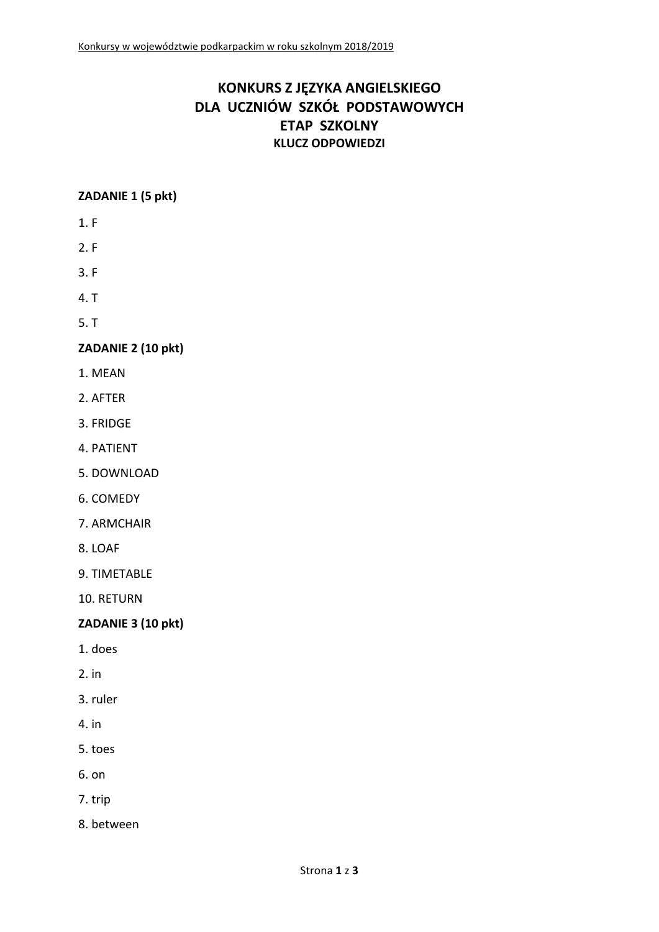# **KONKURS Z JĘZYKA ANGIELSKIEGO DLA UCZNIÓW SZKÓŁ PODSTAWOWYCH ETAP SZKOLNY KLUCZ ODPOWIEDZI**

#### **ZADANIE 1 (5 pkt)**

- 1. F
- 2. F
- 3. F
- 4. T
- 5. T

#### **ZADANIE 2 (10 pkt)**

- 1. MEAN
- 2. AFTER
- 3. FRIDGE
- 4. PATIENT
- 5. DOWNLOAD
- 6. COMEDY
- 7. ARMCHAIR
- 8. LOAF
- 9. TIMETABLE
- 10. RETURN

## **ZADANIE 3 (10 pkt)**

- 1. does
- 2. in
- 3. ruler
- 4. in
- 5. toes
- 6. on
- 7. trip
- 8. between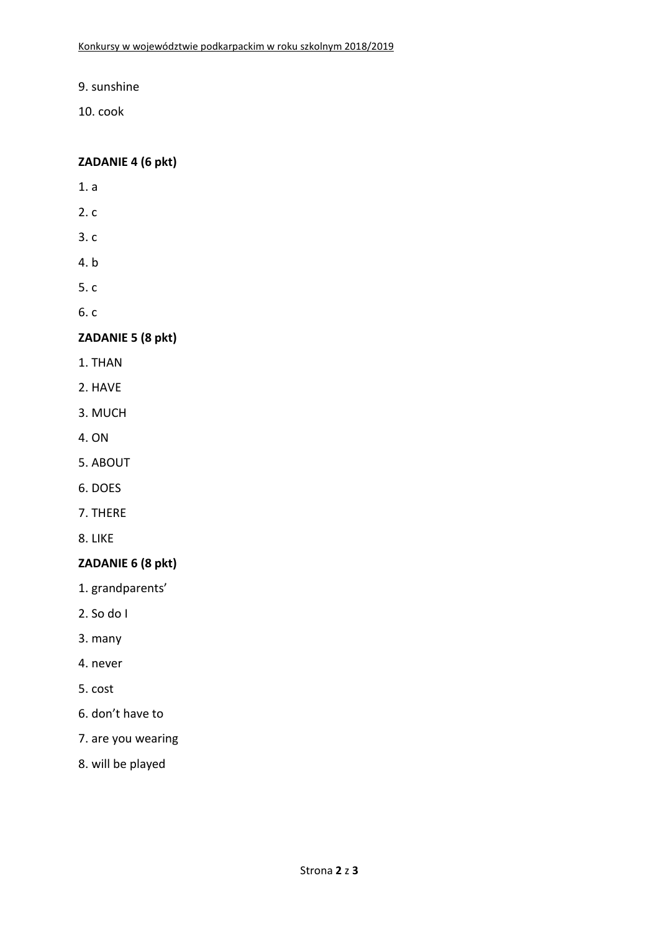9. sunshine

10. cook

# **ZADANIE 4 (6 pkt)**

- 1. a
- 2. c
- 3. c
- 4. b

5. c

6. c

#### **ZADANIE 5 (8 pkt)**

- 1. THAN
- 2. HAVE
- 3. MUCH
- 4. ON
- 5. ABOUT
- 6. DOES
- 7. THERE
- 8. LIKE

#### **ZADANIE 6 (8 pkt)**

- 1. grandparents'
- 2. So do I
- 3. many
- 4. never
- 5. cost
- 6. don't have to
- 7. are you wearing
- 8. will be played